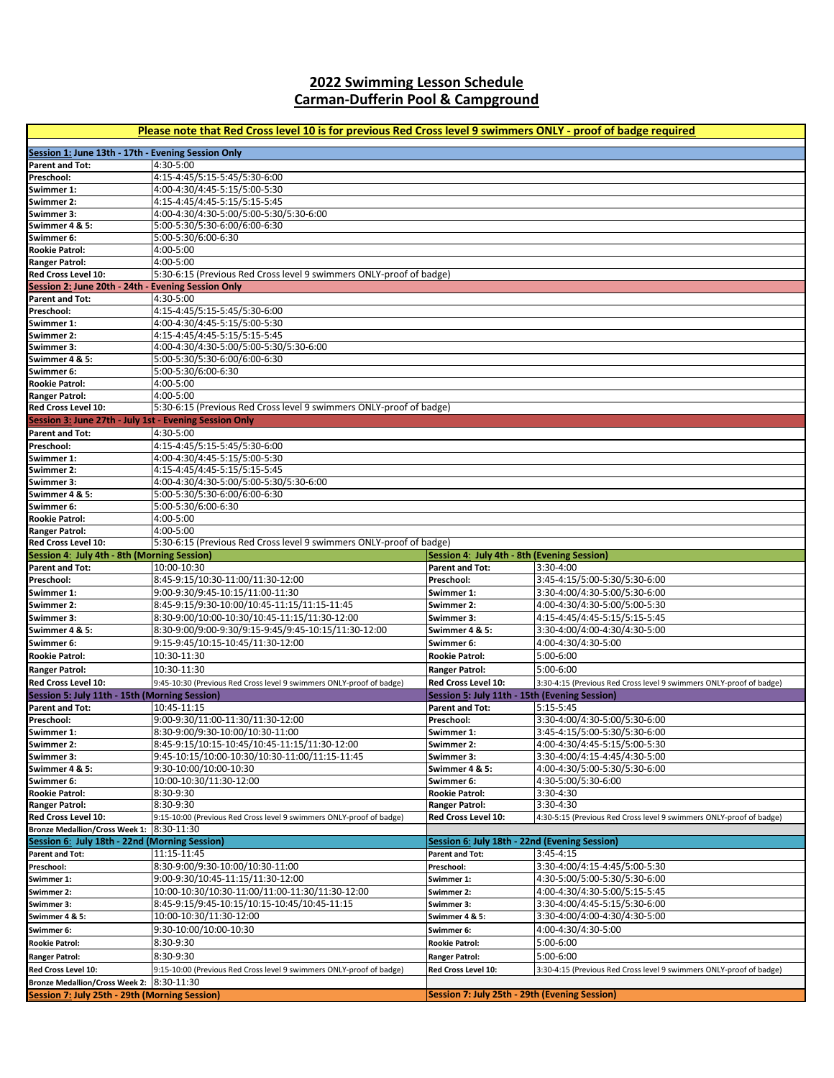## **2022 Swimming Lesson Schedule Carman-Dufferin Pool & Campground**

| Please note that Red Cross level 10 is for previous Red Cross level 9 swimmers ONLY - proof of badge required |                                                                                  |                                                                                  |                                                                     |  |  |
|---------------------------------------------------------------------------------------------------------------|----------------------------------------------------------------------------------|----------------------------------------------------------------------------------|---------------------------------------------------------------------|--|--|
| Session 1: June 13th - 17th - Evening Session Only                                                            |                                                                                  |                                                                                  |                                                                     |  |  |
| <b>Parent and Tot:</b><br>Preschool:                                                                          | 4:30-5:00                                                                        |                                                                                  |                                                                     |  |  |
| Swimmer 1:                                                                                                    | 4:15-4:45/5:15-5:45/5:30-6:00<br>4:00-4:30/4:45-5:15/5:00-5:30                   |                                                                                  |                                                                     |  |  |
| Swimmer 2:                                                                                                    | 4:15-4:45/4:45-5:15/5:15-5:45                                                    |                                                                                  |                                                                     |  |  |
| Swimmer 3:                                                                                                    | 4:00-4:30/4:30-5:00/5:00-5:30/5:30-6:00                                          |                                                                                  |                                                                     |  |  |
| Swimmer 4 & 5:                                                                                                | 5:00-5:30/5:30-6:00/6:00-6:30                                                    |                                                                                  |                                                                     |  |  |
| Swimmer 6:<br><b>Rookie Patrol:</b>                                                                           | 5:00-5:30/6:00-6:30<br>4:00-5:00                                                 |                                                                                  |                                                                     |  |  |
| <b>Ranger Patrol:</b>                                                                                         | 4:00-5:00                                                                        |                                                                                  |                                                                     |  |  |
| Red Cross Level 10:                                                                                           | 5:30-6:15 (Previous Red Cross level 9 swimmers ONLY-proof of badge)              |                                                                                  |                                                                     |  |  |
| Session 2: June 20th - 24th - Evening Session Only                                                            |                                                                                  |                                                                                  |                                                                     |  |  |
| Parent and Tot:<br>Preschool:                                                                                 | 4:30-5:00<br>4:15-4:45/5:15-5:45/5:30-6:00                                       |                                                                                  |                                                                     |  |  |
| Swimmer 1:                                                                                                    | 4:00-4:30/4:45-5:15/5:00-5:30                                                    |                                                                                  |                                                                     |  |  |
| <b>Swimmer 2:</b>                                                                                             | 4:15-4:45/4:45-5:15/5:15-5:45                                                    |                                                                                  |                                                                     |  |  |
| Swimmer 3:                                                                                                    | 4:00-4:30/4:30-5:00/5:00-5:30/5:30-6:00                                          |                                                                                  |                                                                     |  |  |
| Swimmer 4 & 5:                                                                                                | 5:00-5:30/5:30-6:00/6:00-6:30                                                    |                                                                                  |                                                                     |  |  |
| Swimmer 6:                                                                                                    | 5:00-5:30/6:00-6:30                                                              |                                                                                  |                                                                     |  |  |
| <b>Rookie Patrol:</b>                                                                                         | 4:00-5:00                                                                        |                                                                                  |                                                                     |  |  |
| <b>Ranger Patrol:</b><br>Red Cross Level 10:                                                                  | 4:00-5:00<br>5:30-6:15 (Previous Red Cross level 9 swimmers ONLY-proof of badge) |                                                                                  |                                                                     |  |  |
| Session 3: June 27th - July 1st - Evening Session Only                                                        |                                                                                  |                                                                                  |                                                                     |  |  |
| <b>Parent and Tot:</b>                                                                                        | 4:30-5:00                                                                        |                                                                                  |                                                                     |  |  |
| Preschool:                                                                                                    | 4:15-4:45/5:15-5:45/5:30-6:00                                                    |                                                                                  |                                                                     |  |  |
| Swimmer 1:                                                                                                    | 4:00-4:30/4:45-5:15/5:00-5:30                                                    |                                                                                  |                                                                     |  |  |
| Swimmer 2:                                                                                                    | 4:15-4:45/4:45-5:15/5:15-5:45                                                    |                                                                                  |                                                                     |  |  |
| Swimmer 3:<br>Swimmer 4 & 5:                                                                                  | 4:00-4:30/4:30-5:00/5:00-5:30/5:30-6:00                                          |                                                                                  |                                                                     |  |  |
| Swimmer 6:                                                                                                    | 5:00-5:30/5:30-6:00/6:00-6:30<br>5:00-5:30/6:00-6:30                             |                                                                                  |                                                                     |  |  |
| <b>Rookie Patrol:</b>                                                                                         | 4:00-5:00                                                                        |                                                                                  |                                                                     |  |  |
| <b>Ranger Patrol:</b>                                                                                         | 4:00-5:00                                                                        |                                                                                  |                                                                     |  |  |
| Red Cross Level 10:                                                                                           | 5:30-6:15 (Previous Red Cross level 9 swimmers ONLY-proof of badge)              |                                                                                  |                                                                     |  |  |
| Session 4: July 4th - 8th (Morning Session)                                                                   |                                                                                  | Session 4: July 4th - 8th (Evening Session)                                      |                                                                     |  |  |
| <b>Parent and Tot:</b><br>Preschool:                                                                          | 10:00-10:30<br>8:45-9:15/10:30-11:00/11:30-12:00                                 | <b>Parent and Tot:</b><br>Preschool:                                             | 3:30-4:00<br>3:45-4:15/5:00-5:30/5:30-6:00                          |  |  |
| Swimmer 1:                                                                                                    | 9:00-9:30/9:45-10:15/11:00-11:30                                                 | Swimmer 1:                                                                       | 3:30-4:00/4:30-5:00/5:30-6:00                                       |  |  |
| <b>Swimmer 2:</b>                                                                                             | 8:45-9:15/9:30-10:00/10:45-11:15/11:15-11:45                                     | Swimmer 2:                                                                       | 4:00-4:30/4:30-5:00/5:00-5:30                                       |  |  |
| Swimmer 3:                                                                                                    | 8:30-9:00/10:00-10:30/10:45-11:15/11:30-12:00                                    | Swimmer 3:                                                                       | 4:15-4:45/4:45-5:15/5:15-5:45                                       |  |  |
| Swimmer 4 & 5:                                                                                                | 8:30-9:00/9:00-9:30/9:15-9:45/9:45-10:15/11:30-12:00                             | Swimmer 4 & 5:                                                                   | 3:30-4:00/4:00-4:30/4:30-5:00                                       |  |  |
| Swimmer 6:                                                                                                    | 9:15-9:45/10:15-10:45/11:30-12:00                                                | Swimmer 6:                                                                       | 4:00-4:30/4:30-5:00                                                 |  |  |
| <b>Rookie Patrol:</b>                                                                                         | 10:30-11:30                                                                      | <b>Rookie Patrol:</b>                                                            | 5:00-6:00                                                           |  |  |
| <b>Ranger Patrol:</b>                                                                                         | 10:30-11:30                                                                      | <b>Ranger Patrol:</b>                                                            | 5:00-6:00                                                           |  |  |
| Red Cross Level 10:                                                                                           | 9:45-10:30 (Previous Red Cross level 9 swimmers ONLY-proof of badge)             | Red Cross Level 10:                                                              | 3:30-4:15 (Previous Red Cross level 9 swimmers ONLY-proof of badge) |  |  |
| Session 5: July 11th - 15th (Morning Session)<br><b>Parent and Tot:</b>                                       | 10:45-11:15                                                                      | <u> Session 5</u> : July 11th - 15th (Evening Session)<br><b>Parent and Tot:</b> | 5:15-5:45                                                           |  |  |
| Preschool:                                                                                                    | 9:00-9:30/11:00-11:30/11:30-12:00                                                | Preschool:                                                                       | 3:30-4:00/4:30-5:00/5:30-6:00                                       |  |  |
| Swimmer 1:                                                                                                    | 8:30-9:00/9:30-10:00/10:30-11:00                                                 | Swimmer 1:                                                                       | 3:45-4:15/5:00-5:30/5:30-6:00                                       |  |  |
| Swimmer 2:                                                                                                    | 8:45-9:15/10:15-10:45/10:45-11:15/11:30-12:00                                    | Swimmer 2:                                                                       | 4:00-4:30/4:45-5:15/5:00-5:30                                       |  |  |
| Swimmer 3:                                                                                                    | 9:45-10:15/10:00-10:30/10:30-11:00/11:15-11:45                                   | Swimmer 3:                                                                       | 3:30-4:00/4:15-4:45/4:30-5:00                                       |  |  |
| Swimmer 4 & 5:                                                                                                | 9:30-10:00/10:00-10:30                                                           | Swimmer 4 & 5:                                                                   | 4:00-4:30/5:00-5:30/5:30-6:00                                       |  |  |
| Swimmer 6:<br><b>Rookie Patrol:</b>                                                                           | 10:00-10:30/11:30-12:00<br>8:30-9:30                                             | Swimmer 6:<br><b>Rookie Patrol:</b>                                              | 4:30-5:00/5:30-6:00<br>3:30-4:30                                    |  |  |
| <b>Ranger Patrol:</b>                                                                                         | 8:30-9:30                                                                        | <b>Ranger Patrol:</b>                                                            | 3:30-4:30                                                           |  |  |
| Red Cross Level 10:                                                                                           | 9:15-10:00 (Previous Red Cross level 9 swimmers ONLY-proof of badge)             | Red Cross Level 10:                                                              | 4:30-5:15 (Previous Red Cross level 9 swimmers ONLY-proof of badge) |  |  |
| <b>Bronze Medallion/Cross Week 1:</b>                                                                         | 8:30-11:30                                                                       |                                                                                  |                                                                     |  |  |
| Session 6: July 18th - 22nd (Morning Session)                                                                 |                                                                                  | Session 6: July 18th - 22nd (Evening Session)                                    |                                                                     |  |  |
| <b>Parent and Tot:</b>                                                                                        | 11:15-11:45                                                                      | <b>Parent and Tot:</b>                                                           | $3:45 - 4:15$                                                       |  |  |
| Preschool:<br>Swimmer 1:                                                                                      | 8:30-9:00/9:30-10:00/10:30-11:00<br>9:00-9:30/10:45-11:15/11:30-12:00            | Preschool:<br>Swimmer 1:                                                         | 3:30-4:00/4:15-4:45/5:00-5:30<br>4:30-5:00/5:00-5:30/5:30-6:00      |  |  |
| Swimmer 2:                                                                                                    | 10:00-10:30/10:30-11:00/11:00-11:30/11:30-12:00                                  | Swimmer 2:                                                                       | 4:00-4:30/4:30-5:00/5:15-5:45                                       |  |  |
| Swimmer 3:                                                                                                    | 8:45-9:15/9:45-10:15/10:15-10:45/10:45-11:15                                     | Swimmer 3:                                                                       | 3:30-4:00/4:45-5:15/5:30-6:00                                       |  |  |
| Swimmer 4 & 5:                                                                                                | 10:00-10:30/11:30-12:00                                                          | Swimmer 4 & 5:                                                                   | 3:30-4:00/4:00-4:30/4:30-5:00                                       |  |  |
| Swimmer 6:                                                                                                    | 9:30-10:00/10:00-10:30                                                           | Swimmer 6:                                                                       | 4:00-4:30/4:30-5:00                                                 |  |  |
| <b>Rookie Patrol:</b>                                                                                         | 8:30-9:30                                                                        | <b>Rookie Patrol:</b>                                                            | 5:00-6:00                                                           |  |  |
| <b>Ranger Patrol:</b>                                                                                         | 8:30-9:30                                                                        | <b>Ranger Patrol:</b>                                                            | 5:00-6:00                                                           |  |  |
| Red Cross Level 10:                                                                                           | 9:15-10:00 (Previous Red Cross level 9 swimmers ONLY-proof of badge)             | Red Cross Level 10:                                                              | 3:30-4:15 (Previous Red Cross level 9 swimmers ONLY-proof of badge) |  |  |
| Bronze Medallion/Cross Week 2: 8:30-11:30                                                                     |                                                                                  |                                                                                  |                                                                     |  |  |
| <b>Session 7: July 25th - 29th (Morning Session)</b>                                                          |                                                                                  | Session 7: July 25th - 29th (Evening Session)                                    |                                                                     |  |  |